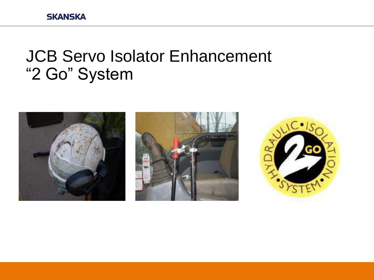

### JCB Servo Isolator Enhancement "2 Go" System





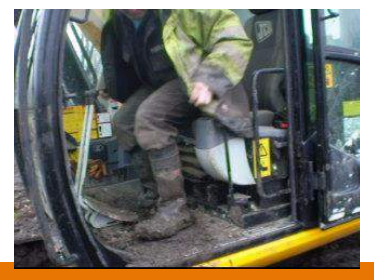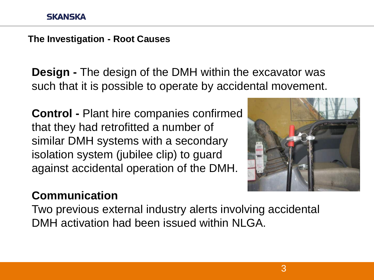**The Investigation - Root Causes**

**Design -** The design of the DMH within the excavator was such that it is possible to operate by accidental movement.

**Control -** Plant hire companies confirmed that they had retrofitted a number of similar DMH systems with a secondary isolation system (jubilee clip) to guard against accidental operation of the DMH.

### **Communication**

Two previous external industry alerts involving accidental DMH activation had been issued within NLGA.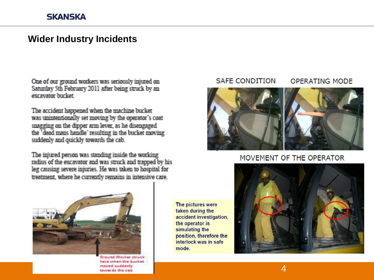#### **SKANSKA**

#### **Wider Industry Incidents**

One of our ground workers was seriously injured on Saturday 5th February 2011 after being struck by an excavator bucket

The accident happened when the machine bucket was unintentionally set moving by the operator's coat snagging on the dipper arm lever, as he disengaged the 'dead mans handle' resulting in the bucket moving suddenly and quickly towards the cab.

The injured person was standing inside the working radius of the excavator and was struck and trapped by his leg causing severe injuries. He was taken to hospital for treatment, where he currently remains in intensive care.



**Bround Worker struck:** here when the bucket moved cuddenly towards the cab

The pictures were taken during the accident investigation, the operator is simulating the position, therefore the interlock was in safe mode.

#### **SAFE CONDITION**

**OPERATING MODE** 



#### MOVEMENT OF THE OPERATOR

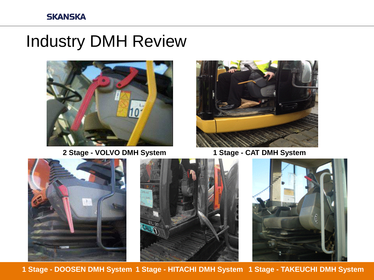#### **SKANSKA**

### Industry DMH Review



**2 Stage - VOLVO DMH System 1 Stage - CAT DMH System**









**1 Stage - DOOSEN DMH System 1 Stage - HITACHI DMH System 1 Stage - TAKEUCHI DMH System**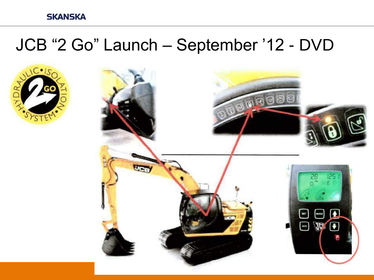#### **SKANSKA**

### JCB "2 Go" Launch – September '12 - DVD



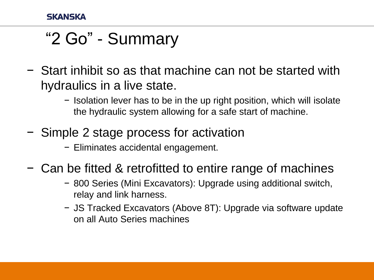# "2 Go" - Summary

- − Start inhibit so as that machine can not be started with hydraulics in a live state.
	- − Isolation lever has to be in the up right position, which will isolate the hydraulic system allowing for a safe start of machine.
- − Simple 2 stage process for activation
	- − Eliminates accidental engagement.
- − Can be fitted & retrofitted to entire range of machines
	- − 800 Series (Mini Excavators): Upgrade using additional switch, relay and link harness.
	- − JS Tracked Excavators (Above 8T): Upgrade via software update on all Auto Series machines